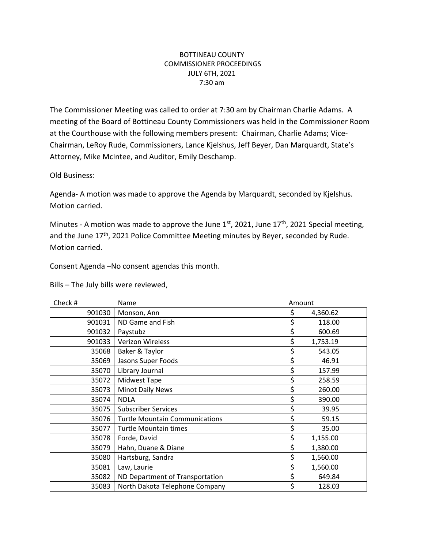## BOTTINEAU COUNTY COMMISSIONER PROCEEDINGS JULY 6TH, 2021 7:30 am

The Commissioner Meeting was called to order at 7:30 am by Chairman Charlie Adams. A meeting of the Board of Bottineau County Commissioners was held in the Commissioner Room at the Courthouse with the following members present: Chairman, Charlie Adams; Vice-Chairman, LeRoy Rude, Commissioners, Lance Kjelshus, Jeff Beyer, Dan Marquardt, State's Attorney, Mike McIntee, and Auditor, Emily Deschamp.

Old Business:

Agenda- A motion was made to approve the Agenda by Marquardt, seconded by Kjelshus. Motion carried.

Minutes - A motion was made to approve the June  $1^{st}$ , 2021, June  $17^{th}$ , 2021 Special meeting, and the June 17<sup>th</sup>, 2021 Police Committee Meeting minutes by Beyer, seconded by Rude. Motion carried.

Consent Agenda –No consent agendas this month.

Bills – The July bills were reviewed,

| Check #<br>Name |                                       | Amount |          |
|-----------------|---------------------------------------|--------|----------|
| 901030          | Monson, Ann                           | \$     | 4,360.62 |
| 901031          | ND Game and Fish                      | \$     | 118.00   |
| 901032          | Paystubz                              | \$     | 600.69   |
| 901033          | <b>Verizon Wireless</b>               | \$     | 1,753.19 |
| 35068           | Baker & Taylor                        | \$     | 543.05   |
| 35069           | Jasons Super Foods                    | \$     | 46.91    |
| 35070           | Library Journal                       | \$     | 157.99   |
| 35072           | Midwest Tape                          | \$     | 258.59   |
| 35073           | <b>Minot Daily News</b>               | \$     | 260.00   |
| 35074           | <b>NDLA</b>                           | \$     | 390.00   |
| 35075           | <b>Subscriber Services</b>            | \$     | 39.95    |
| 35076           | <b>Turtle Mountain Communications</b> | \$     | 59.15    |
| 35077           | <b>Turtle Mountain times</b>          | \$     | 35.00    |
| 35078           | Forde, David                          | \$     | 1,155.00 |
| 35079           | Hahn, Duane & Diane                   | \$     | 1,380.00 |
| 35080           | Hartsburg, Sandra                     | \$     | 1,560.00 |
| 35081           | Law, Laurie                           | \$     | 1,560.00 |
| 35082           | ND Department of Transportation       | \$     | 649.84   |
| 35083           | North Dakota Telephone Company        | \$     | 128.03   |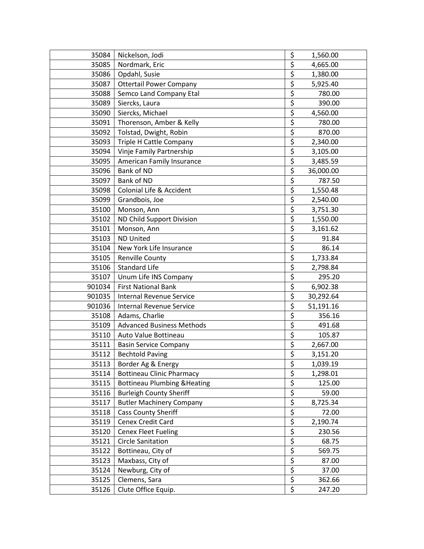| 35084  | Nickelson, Jodi                         | \$                              | 1,560.00  |
|--------|-----------------------------------------|---------------------------------|-----------|
| 35085  | Nordmark, Eric                          | \$                              | 4,665.00  |
| 35086  | Opdahl, Susie                           | \$                              | 1,380.00  |
| 35087  | <b>Ottertail Power Company</b>          | $\overline{\xi}$                | 5,925.40  |
| 35088  | Semco Land Company Etal                 | \$                              | 780.00    |
| 35089  | Siercks, Laura                          | $\overline{\boldsymbol{\zeta}}$ | 390.00    |
| 35090  | Siercks, Michael                        | \$                              | 4,560.00  |
| 35091  | Thorenson, Amber & Kelly                | \$                              | 780.00    |
| 35092  | Tolstad, Dwight, Robin                  | \$                              | 870.00    |
| 35093  | Triple H Cattle Company                 | \$                              | 2,340.00  |
| 35094  | Vinje Family Partnership                | \$                              | 3,105.00  |
| 35095  | American Family Insurance               | \$                              | 3,485.59  |
| 35096  | Bank of ND                              | \$                              | 36,000.00 |
| 35097  | Bank of ND                              | \$                              | 787.50    |
| 35098  | Colonial Life & Accident                | \$                              | 1,550.48  |
| 35099  | Grandbois, Joe                          | \$                              | 2,540.00  |
| 35100  | Monson, Ann                             | \$                              | 3,751.30  |
| 35102  | ND Child Support Division               | $\overline{\boldsymbol{\zeta}}$ | 1,550.00  |
| 35101  | Monson, Ann                             | \$                              | 3,161.62  |
| 35103  | <b>ND United</b>                        | $\overline{\xi}$                | 91.84     |
| 35104  | New York Life Insurance                 | $\overline{\xi}$                | 86.14     |
| 35105  | <b>Renville County</b>                  | \$                              | 1,733.84  |
| 35106  | <b>Standard Life</b>                    | \$                              | 2,798.84  |
| 35107  | Unum Life INS Company                   | \$                              | 295.20    |
| 901034 | <b>First National Bank</b>              | \$                              | 6,902.38  |
| 901035 | <b>Internal Revenue Service</b>         | \$                              | 30,292.64 |
| 901036 | <b>Internal Revenue Service</b>         | \$                              | 51,191.16 |
| 35108  | Adams, Charlie                          | \$                              | 356.16    |
| 35109  | <b>Advanced Business Methods</b>        | \$                              | 491.68    |
| 35110  | Auto Value Bottineau                    | \$                              | 105.87    |
| 35111  | <b>Basin Service Company</b>            | \$                              | 2,667.00  |
| 35112  | <b>Bechtold Paving</b>                  | $\overline{\xi}$                | 3,151.20  |
| 35113  | Border Ag & Energy                      |                                 | 1,039.19  |
| 35114  | <b>Bottineau Clinic Pharmacy</b>        | <u>ې</u><br>\$                  | 1,298.01  |
| 35115  | <b>Bottineau Plumbing &amp; Heating</b> | \$                              | 125.00    |
| 35116  | <b>Burleigh County Sheriff</b>          | $rac{5}{5}$                     | 59.00     |
| 35117  | <b>Butler Machinery Company</b>         |                                 | 8,725.34  |
| 35118  | <b>Cass County Sheriff</b>              | \$                              | 72.00     |
| 35119  | Cenex Credit Card                       | $rac{5}{5}$                     | 2,190.74  |
| 35120  | <b>Cenex Fleet Fueling</b>              |                                 | 230.56    |
| 35121  | <b>Circle Sanitation</b>                | \$                              | 68.75     |
| 35122  | Bottineau, City of                      | \$                              | 569.75    |
| 35123  | Maxbass, City of                        | \$                              | 87.00     |
| 35124  | Newburg, City of                        | \$                              | 37.00     |
| 35125  | Clemens, Sara                           | \$                              | 362.66    |
| 35126  | Clute Office Equip.                     | \$                              | 247.20    |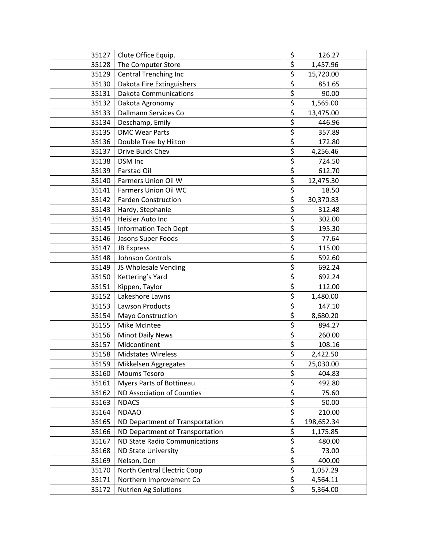| 35127 | Clute Office Equip.             | \$                              | 126.27     |
|-------|---------------------------------|---------------------------------|------------|
| 35128 | The Computer Store              | \$                              | 1,457.96   |
| 35129 | <b>Central Trenching Inc</b>    | \$                              | 15,720.00  |
| 35130 | Dakota Fire Extinguishers       | \$                              | 851.65     |
| 35131 | <b>Dakota Communications</b>    | $\overline{\xi}$                | 90.00      |
| 35132 | Dakota Agronomy                 | \$                              | 1,565.00   |
| 35133 | Dallmann Services Co            | \$                              | 13,475.00  |
| 35134 | Deschamp, Emily                 | \$                              | 446.96     |
| 35135 | <b>DMC Wear Parts</b>           | \$                              | 357.89     |
| 35136 | Double Tree by Hilton           | $\overline{\boldsymbol{\xi}}$   | 172.80     |
| 35137 | Drive Buick Chev                | $\overline{\xi}$                | 4,256.46   |
| 35138 | DSM Inc                         | $\overline{\xi}$                | 724.50     |
| 35139 | <b>Farstad Oil</b>              | \$                              | 612.70     |
| 35140 | Farmers Union Oil W             | \$                              | 12,475.30  |
| 35141 | Farmers Union Oil WC            | \$                              | 18.50      |
| 35142 | <b>Farden Construction</b>      | \$                              | 30,370.83  |
| 35143 | Hardy, Stephanie                | \$                              | 312.48     |
| 35144 | Heisler Auto Inc                | \$                              | 302.00     |
| 35145 | <b>Information Tech Dept</b>    | \$                              | 195.30     |
| 35146 | Jasons Super Foods              | $\overline{\xi}$                | 77.64      |
| 35147 | <b>JB Express</b>               | \$                              | 115.00     |
| 35148 | Johnson Controls                | \$                              | 592.60     |
| 35149 | JS Wholesale Vending            | \$                              | 692.24     |
| 35150 | Kettering's Yard                | \$                              | 692.24     |
| 35151 | Kippen, Taylor                  | \$                              | 112.00     |
| 35152 | Lakeshore Lawns                 | \$                              | 1,480.00   |
| 35153 | Lawson Products                 | \$                              | 147.10     |
| 35154 | Mayo Construction               | \$                              | 8,680.20   |
| 35155 | Mike McIntee                    | \$                              | 894.27     |
| 35156 | <b>Minot Daily News</b>         | \$                              | 260.00     |
| 35157 | Midcontinent                    | $\overline{\boldsymbol{\zeta}}$ | 108.16     |
| 35158 | <b>Midstates Wireless</b>       | \$                              | 2,422.50   |
| 35159 | Mikkelsen Aggregates            | <u>\$</u>                       | 25,030.00  |
| 35160 | <b>Moums Tesoro</b>             | \$                              | 404.83     |
| 35161 | Myers Parts of Bottineau        | $rac{5}{5}$                     | 492.80     |
| 35162 | ND Association of Counties      |                                 | 75.60      |
| 35163 | <b>NDACS</b>                    | $\overline{\boldsymbol{\zeta}}$ | 50.00      |
| 35164 | <b>NDAAO</b>                    | \$                              | 210.00     |
| 35165 | ND Department of Transportation | $\overline{\xi}$                | 198,652.34 |
| 35166 | ND Department of Transportation | \$                              | 1,175.85   |
| 35167 | ND State Radio Communications   | \$                              | 480.00     |
| 35168 | <b>ND State University</b>      | \$                              | 73.00      |
| 35169 | Nelson, Don                     | \$                              | 400.00     |
| 35170 | North Central Electric Coop     | \$                              | 1,057.29   |
| 35171 | Northern Improvement Co         | \$                              | 4,564.11   |
| 35172 | <b>Nutrien Ag Solutions</b>     | \$                              | 5,364.00   |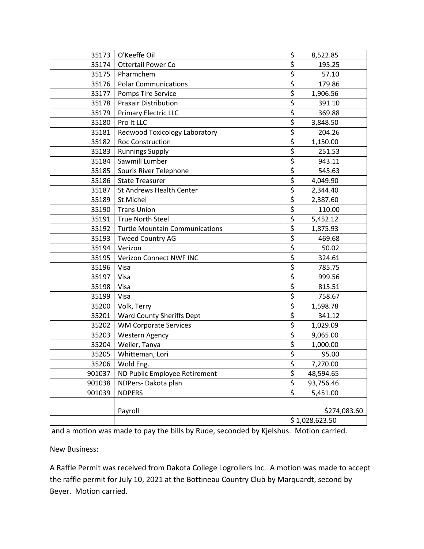| 35173  | O'Keeffe Oil                          | \$                              | 8,522.85     |
|--------|---------------------------------------|---------------------------------|--------------|
| 35174  | <b>Ottertail Power Co</b>             | \$                              | 195.25       |
| 35175  | Pharmchem                             | \$                              | 57.10        |
| 35176  | <b>Polar Communications</b>           | \$                              | 179.86       |
| 35177  | Pomps Tire Service                    | \$                              | 1,906.56     |
| 35178  | <b>Praxair Distribution</b>           | \$                              | 391.10       |
| 35179  | <b>Primary Electric LLC</b>           | $\overline{\xi}$                | 369.88       |
| 35180  | Pro It LLC                            | \$                              | 3,848.50     |
| 35181  | Redwood Toxicology Laboratory         | \$                              | 204.26       |
| 35182  | <b>Roc Construction</b>               | $\overline{\xi}$                | 1,150.00     |
| 35183  | <b>Runnings Supply</b>                | $\overline{\boldsymbol{\zeta}}$ | 251.53       |
| 35184  | Sawmill Lumber                        | \$                              | 943.11       |
| 35185  | Souris River Telephone                | \$                              | 545.63       |
| 35186  | <b>State Treasurer</b>                | \$                              | 4,049.90     |
| 35187  | St Andrews Health Center              | \$                              | 2,344.40     |
| 35189  | St Michel                             | \$                              | 2,387.60     |
| 35190  | <b>Trans Union</b>                    | \$                              | 110.00       |
| 35191  | <b>True North Steel</b>               | \$                              | 5,452.12     |
| 35192  | <b>Turtle Mountain Communications</b> | \$                              | 1,875.93     |
| 35193  | <b>Tweed Country AG</b>               | \$                              | 469.68       |
| 35194  | Verizon                               | $\overline{\xi}$                | 50.02        |
| 35195  | Verizon Connect NWF INC               | \$                              | 324.61       |
| 35196  | Visa                                  | \$                              | 785.75       |
| 35197  | Visa                                  | \$                              | 999.56       |
| 35198  | Visa                                  | $\overline{\xi}$                | 815.51       |
| 35199  | Visa                                  | \$                              | 758.67       |
| 35200  | Volk, Terry                           | \$                              | 1,598.78     |
| 35201  | <b>Ward County Sheriffs Dept</b>      | \$                              | 341.12       |
| 35202  | <b>WM Corporate Services</b>          | $\overline{\xi}$                | 1,029.09     |
| 35203  | <b>Western Agency</b>                 | \$                              | 9,065.00     |
| 35204  | Weiler, Tanya                         | \$                              | 1,000.00     |
| 35205  | Whitteman, Lori                       | \$                              | 95.00        |
| 35206  | Wold Eng.                             | \$                              | 7,270.00     |
| 901037 | ND Public Employee Retirement         | \$                              | 48,594.65    |
| 901038 | NDPers-Dakota plan                    | $\overline{\xi}$                | 93,756.46    |
| 901039 | <b>NDPERS</b>                         | $\overline{\xi}$                | 5,451.00     |
|        |                                       |                                 |              |
|        | Payroll                               |                                 | \$274,083.60 |
|        |                                       | \$1,028,623.50                  |              |

and a motion was made to pay the bills by Rude, seconded by Kjelshus. Motion carried.

New Business:

A Raffle Permit was received from Dakota College Logrollers Inc. A motion was made to accept the raffle permit for July 10, 2021 at the Bottineau Country Club by Marquardt, second by Beyer. Motion carried.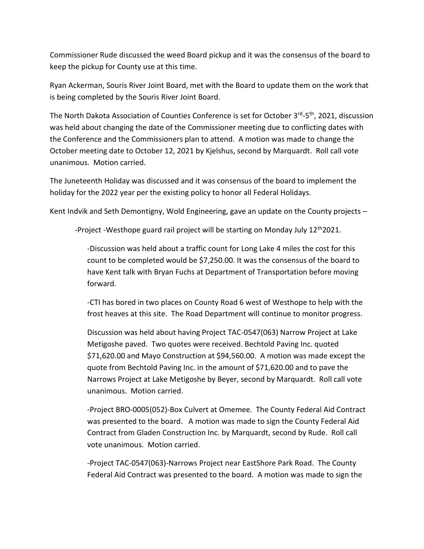Commissioner Rude discussed the weed Board pickup and it was the consensus of the board to keep the pickup for County use at this time.

Ryan Ackerman, Souris River Joint Board, met with the Board to update them on the work that is being completed by the Souris River Joint Board.

The North Dakota Association of Counties Conference is set for October 3<sup>rd</sup>-5<sup>th</sup>, 2021, discussion was held about changing the date of the Commissioner meeting due to conflicting dates with the Conference and the Commissioners plan to attend. A motion was made to change the October meeting date to October 12, 2021 by Kjelshus, second by Marquardt. Roll call vote unanimous. Motion carried.

The Juneteenth Holiday was discussed and it was consensus of the board to implement the holiday for the 2022 year per the existing policy to honor all Federal Holidays.

Kent Indvik and Seth Demontigny, Wold Engineering, gave an update on the County projects –

-Project -Westhope guard rail project will be starting on Monday July  $12<sup>th</sup>2021$ .

-Discussion was held about a traffic count for Long Lake 4 miles the cost for this count to be completed would be \$7,250.00. It was the consensus of the board to have Kent talk with Bryan Fuchs at Department of Transportation before moving forward.

-CTI has bored in two places on County Road 6 west of Westhope to help with the frost heaves at this site. The Road Department will continue to monitor progress.

Discussion was held about having Project TAC-0547(063) Narrow Project at Lake Metigoshe paved. Two quotes were received. Bechtold Paving Inc. quoted \$71,620.00 and Mayo Construction at \$94,560.00. A motion was made except the quote from Bechtold Paving Inc. in the amount of \$71,620.00 and to pave the Narrows Project at Lake Metigoshe by Beyer, second by Marquardt. Roll call vote unanimous. Motion carried.

*-*Project BRO-0005(052)-Box Culvert at Omemee. The County Federal Aid Contract was presented to the board. A motion was made to sign the County Federal Aid Contract from Gladen Construction Inc. by Marquardt, second by Rude. Roll call vote unanimous. Motion carried.

-Project TAC-0547(063)-Narrows Project near EastShore Park Road. The County Federal Aid Contract was presented to the board. A motion was made to sign the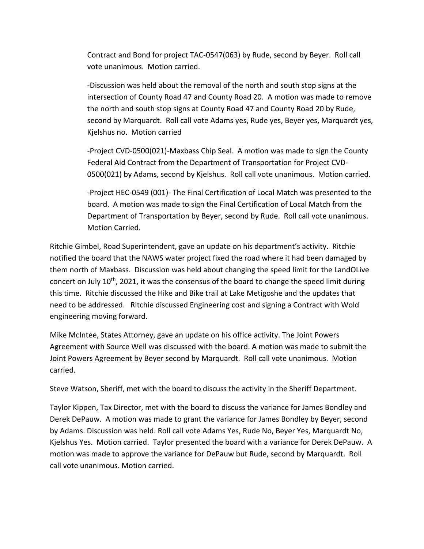Contract and Bond for project TAC-0547(063) by Rude, second by Beyer. Roll call vote unanimous. Motion carried.

-Discussion was held about the removal of the north and south stop signs at the intersection of County Road 47 and County Road 20. A motion was made to remove the north and south stop signs at County Road 47 and County Road 20 by Rude, second by Marquardt. Roll call vote Adams yes, Rude yes, Beyer yes, Marquardt yes, Kjelshus no. Motion carried

-Project CVD-0500(021)-Maxbass Chip Seal. A motion was made to sign the County Federal Aid Contract from the Department of Transportation for Project CVD-0500(021) by Adams, second by Kjelshus. Roll call vote unanimous. Motion carried.

-Project HEC-0549 (001)- The Final Certification of Local Match was presented to the board. A motion was made to sign the Final Certification of Local Match from the Department of Transportation by Beyer, second by Rude. Roll call vote unanimous. Motion Carried.

Ritchie Gimbel, Road Superintendent, gave an update on his department's activity. Ritchie notified the board that the NAWS water project fixed the road where it had been damaged by them north of Maxbass. Discussion was held about changing the speed limit for the LandOLive concert on July 10<sup>th</sup>, 2021, it was the consensus of the board to change the speed limit during this time. Ritchie discussed the Hike and Bike trail at Lake Metigoshe and the updates that need to be addressed. Ritchie discussed Engineering cost and signing a Contract with Wold engineering moving forward.

Mike McIntee, States Attorney, gave an update on his office activity. The Joint Powers Agreement with Source Well was discussed with the board. A motion was made to submit the Joint Powers Agreement by Beyer second by Marquardt. Roll call vote unanimous. Motion carried.

Steve Watson, Sheriff, met with the board to discuss the activity in the Sheriff Department.

Taylor Kippen, Tax Director, met with the board to discuss the variance for James Bondley and Derek DePauw. A motion was made to grant the variance for James Bondley by Beyer, second by Adams. Discussion was held. Roll call vote Adams Yes, Rude No, Beyer Yes, Marquardt No, Kjelshus Yes. Motion carried. Taylor presented the board with a variance for Derek DePauw. A motion was made to approve the variance for DePauw but Rude, second by Marquardt. Roll call vote unanimous. Motion carried.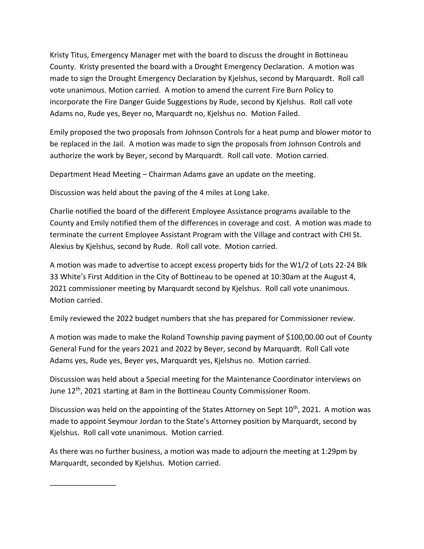Kristy Titus, Emergency Manager met with the board to discuss the drought in Bottineau County. Kristy presented the board with a Drought Emergency Declaration. A motion was made to sign the Drought Emergency Declaration by Kjelshus, second by Marquardt. Roll call vote unanimous. Motion carried. A motion to amend the current Fire Burn Policy to incorporate the Fire Danger Guide Suggestions by Rude, second by Kjelshus. Roll call vote Adams no, Rude yes, Beyer no, Marquardt no, Kjelshus no. Motion Failed.

Emily proposed the two proposals from Johnson Controls for a heat pump and blower motor to be replaced in the Jail. A motion was made to sign the proposals from Johnson Controls and authorize the work by Beyer, second by Marquardt. Roll call vote. Motion carried.

Department Head Meeting – Chairman Adams gave an update on the meeting.

Discussion was held about the paving of the 4 miles at Long Lake.

Charlie notified the board of the different Employee Assistance programs available to the County and Emily notified them of the differences in coverage and cost. A motion was made to terminate the current Employee Assistant Program with the Village and contract with CHI St. Alexius by Kjelshus, second by Rude. Roll call vote. Motion carried.

A motion was made to advertise to accept excess property bids for the W1/2 of Lots 22-24 Blk 33 White's First Addition in the City of Bottineau to be opened at 10:30am at the August 4, 2021 commissioner meeting by Marquardt second by Kjelshus. Roll call vote unanimous. Motion carried.

Emily reviewed the 2022 budget numbers that she has prepared for Commissioner review.

A motion was made to make the Roland Township paving payment of \$100,00.00 out of County General Fund for the years 2021 and 2022 by Beyer, second by Marquardt. Roll Call vote Adams yes, Rude yes, Beyer yes, Marquardt yes, Kjelshus no. Motion carried.

Discussion was held about a Special meeting for the Maintenance Coordinator interviews on June 12th, 2021 starting at 8am in the Bottineau County Commissioner Room.

Discussion was held on the appointing of the States Attorney on Sept  $10^{th}$ , 2021. A motion was made to appoint Seymour Jordan to the State's Attorney position by Marquardt, second by Kjelshus. Roll call vote unanimous. Motion carried.

As there was no further business, a motion was made to adjourn the meeting at 1:29pm by Marquardt, seconded by Kjelshus. Motion carried.

\_\_\_\_\_\_\_\_\_\_\_\_\_\_\_\_